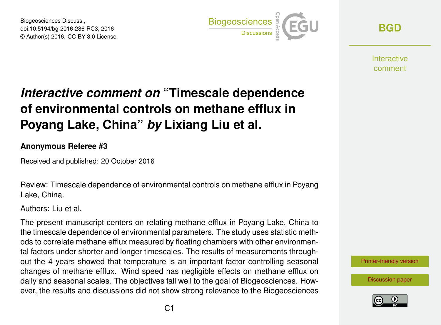Biogeosciences Discuss., doi:10.5194/bg-2016-286-RC3, 2016 © Author(s) 2016. CC-BY 3.0 License.



**[BGD](http://www.biogeosciences-discuss.net/)**

Interactive comment

## *Interactive comment on* **"Timescale dependence of environmental controls on methane efflux in Poyang Lake, China"** *by* **Lixiang Liu et al.**

**Anonymous Referee #3**

Received and published: 20 October 2016

Review: Timescale dependence of environmental controls on methane efflux in Poyang Lake, China.

Authors: Liu et al.

The present manuscript centers on relating methane efflux in Poyang Lake, China to the timescale dependence of environmental parameters. The study uses statistic methods to correlate methane efflux measured by floating chambers with other environmental factors under shorter and longer timescales. The results of measurements throughout the 4 years showed that temperature is an important factor controlling seasonal changes of methane efflux. Wind speed has negligible effects on methane efflux on daily and seasonal scales. The objectives fall well to the goal of Biogeosciences. However, the results and discussions did not show strong relevance to the Biogeosciences



[Discussion paper](http://www.biogeosciences-discuss.net/bg-2016-286)

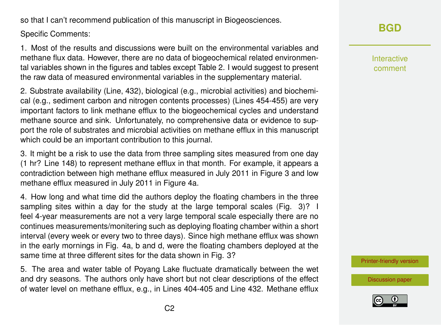so that I can't recommend publication of this manuscript in Biogeosciences.

Specific Comments:

1. Most of the results and discussions were built on the environmental variables and methane flux data. However, there are no data of biogeochemical related environmental variables shown in the figures and tables except Table 2. I would suggest to present the raw data of measured environmental variables in the supplementary material.

2. Substrate availability (Line, 432), biological (e.g., microbial activities) and biochemical (e.g., sediment carbon and nitrogen contents processes) (Lines 454-455) are very important factors to link methane efflux to the biogeochemical cycles and understand methane source and sink. Unfortunately, no comprehensive data or evidence to support the role of substrates and microbial activities on methane efflux in this manuscript which could be an important contribution to this journal.

3. It might be a risk to use the data from three sampling sites measured from one day (1 hr? Line 148) to represent methane efflux in that month. For example, it appears a contradiction between high methane efflux measured in July 2011 in Figure 3 and low methane efflux measured in July 2011 in Figure 4a.

4. How long and what time did the authors deploy the floating chambers in the three sampling sites within a day for the study at the large temporal scales (Fig. 3)? I feel 4-year measurements are not a very large temporal scale especially there are no continues measurements/monitering such as deploying floating chamber within a short interval (every week or every two to three days). Since high methane efflux was shown in the early mornings in Fig. 4a, b and d, were the floating chambers deployed at the same time at three different sites for the data shown in Fig. 3?

5. The area and water table of Poyang Lake fluctuate dramatically between the wet and dry seasons. The authors only have short but not clear descriptions of the effect of water level on methane efflux, e.g., in Lines 404-405 and Line 432. Methane efflux

**[BGD](http://www.biogeosciences-discuss.net/)**

Interactive comment

[Printer-friendly version](http://www.biogeosciences-discuss.net/bg-2016-286/bg-2016-286-RC3-print.pdf)

[Discussion paper](http://www.biogeosciences-discuss.net/bg-2016-286)

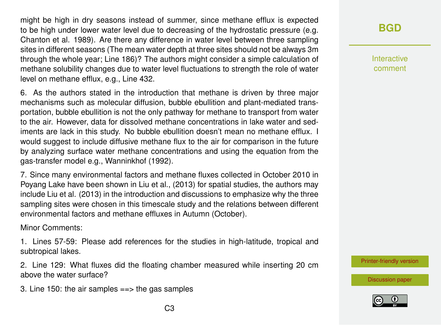might be high in dry seasons instead of summer, since methane efflux is expected to be high under lower water level due to decreasing of the hydrostatic pressure (e.g. Chanton et al. 1989). Are there any difference in water level between three sampling sites in different seasons (The mean water depth at three sites should not be always 3m through the whole year; Line 186)? The authors might consider a simple calculation of methane solubility changes due to water level fluctuations to strength the role of water level on methane efflux, e.g., Line 432.

6. As the authors stated in the introduction that methane is driven by three major mechanisms such as molecular diffusion, bubble ebullition and plant-mediated transportation, bubble ebullition is not the only pathway for methane to transport from water to the air. However, data for dissolved methane concentrations in lake water and sediments are lack in this study. No bubble ebullition doesn't mean no methane efflux. I would suggest to include diffusive methane flux to the air for comparison in the future by analyzing surface water methane concentrations and using the equation from the gas-transfer model e.g., Wanninkhof (1992).

7. Since many environmental factors and methane fluxes collected in October 2010 in Poyang Lake have been shown in Liu et al., (2013) for spatial studies, the authors may include Liu et al. (2013) in the introduction and discussions to emphasize why the three sampling sites were chosen in this timescale study and the relations between different environmental factors and methane effluxes in Autumn (October).

Minor Comments:

1. Lines 57-59: Please add references for the studies in high-latitude, tropical and subtropical lakes.

2. Line 129: What fluxes did the floating chamber measured while inserting 20 cm above the water surface?

3. Line 150: the air samples  $==$  the gas samples

Interactive comment

[Printer-friendly version](http://www.biogeosciences-discuss.net/bg-2016-286/bg-2016-286-RC3-print.pdf)